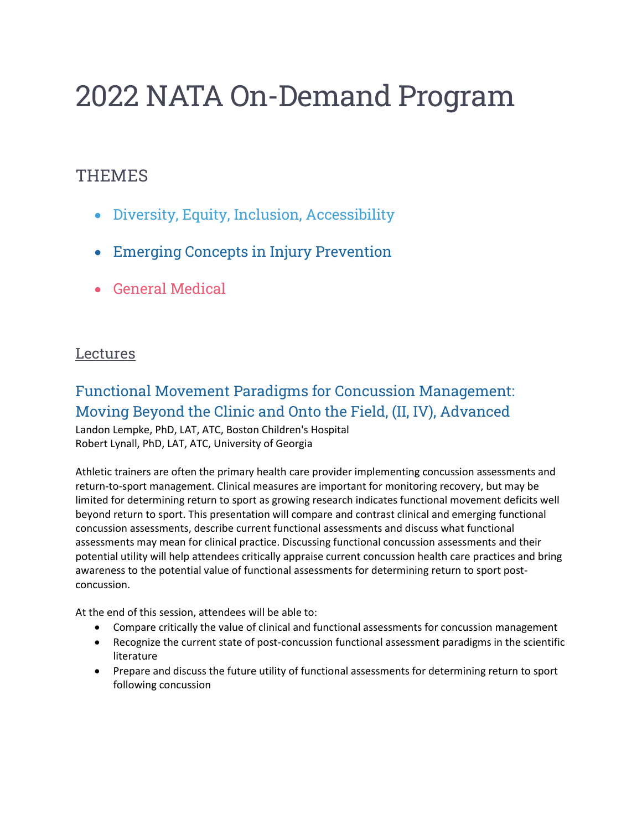# 2022 NATA On-Demand Program

#### **THEMES**

- Diversity, Equity, Inclusion, Accessibility
- Emerging Concepts in Injury Prevention
- General Medical

#### **Lectures**

# Functional Movement Paradigms for Concussion Management: Moving Beyond the Clinic and Onto the Field, (II, IV), Advanced

Landon Lempke, PhD, LAT, ATC, Boston Children's Hospital Robert Lynall, PhD, LAT, ATC, University of Georgia

Athletic trainers are often the primary health care provider implementing concussion assessments and return-to-sport management. Clinical measures are important for monitoring recovery, but may be limited for determining return to sport as growing research indicates functional movement deficits well beyond return to sport. This presentation will compare and contrast clinical and emerging functional concussion assessments, describe current functional assessments and discuss what functional assessments may mean for clinical practice. Discussing functional concussion assessments and their potential utility will help attendees critically appraise current concussion health care practices and bring awareness to the potential value of functional assessments for determining return to sport postconcussion.

- Compare critically the value of clinical and functional assessments for concussion management
- Recognize the current state of post-concussion functional assessment paradigms in the scientific literature
- Prepare and discuss the future utility of functional assessments for determining return to sport following concussion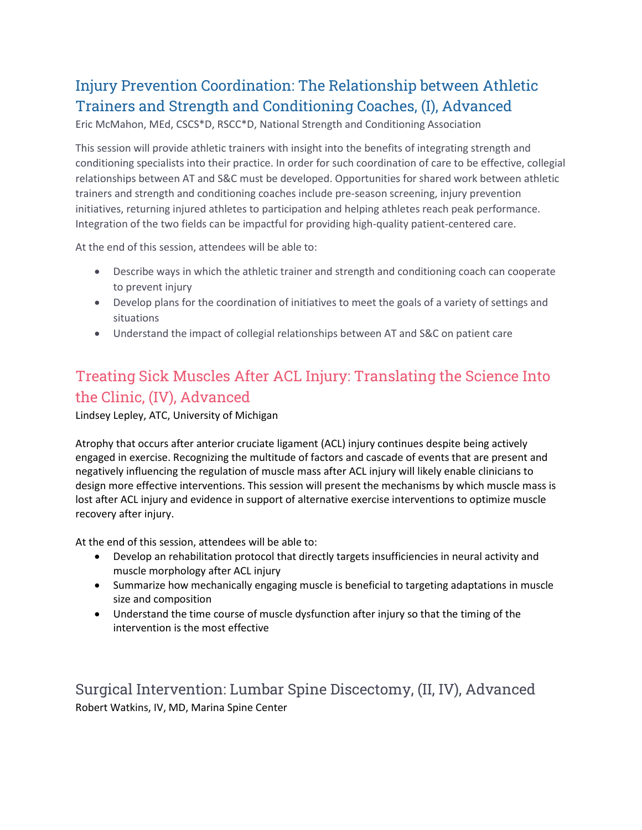# Injury Prevention Coordination: The Relationship between Athletic Trainers and Strength and Conditioning Coaches, (I), Advanced

Eric McMahon, MEd, CSCS\*D, RSCC\*D, National Strength and Conditioning Association

This session will provide athletic trainers with insight into the benefits of integrating strength and conditioning specialists into their practice. In order for such coordination of care to be effective, collegial relationships between AT and S&C must be developed. Opportunities for shared work between athletic trainers and strength and conditioning coaches include pre-season screening, injury prevention initiatives, returning injured athletes to participation and helping athletes reach peak performance. Integration of the two fields can be impactful for providing high-quality patient-centered care.

At the end of this session, attendees will be able to:

- Describe ways in which the athletic trainer and strength and conditioning coach can cooperate to prevent injury
- Develop plans for the coordination of initiatives to meet the goals of a variety of settings and situations
- Understand the impact of collegial relationships between AT and S&C on patient care

# Treating Sick Muscles After ACL Injury: Translating the Science Into the Clinic, (IV), Advanced

Lindsey Lepley, ATC, University of Michigan

Atrophy that occurs after anterior cruciate ligament (ACL) injury continues despite being actively engaged in exercise. Recognizing the multitude of factors and cascade of events that are present and negatively influencing the regulation of muscle mass after ACL injury will likely enable clinicians to design more effective interventions. This session will present the mechanisms by which muscle mass is lost after ACL injury and evidence in support of alternative exercise interventions to optimize muscle recovery after injury.

At the end of this session, attendees will be able to:

- Develop an rehabilitation protocol that directly targets insufficiencies in neural activity and muscle morphology after ACL injury
- Summarize how mechanically engaging muscle is beneficial to targeting adaptations in muscle size and composition
- Understand the time course of muscle dysfunction after injury so that the timing of the intervention is the most effective

Surgical Intervention: Lumbar Spine Discectomy, (II, IV), Advanced Robert Watkins, IV, MD, Marina Spine Center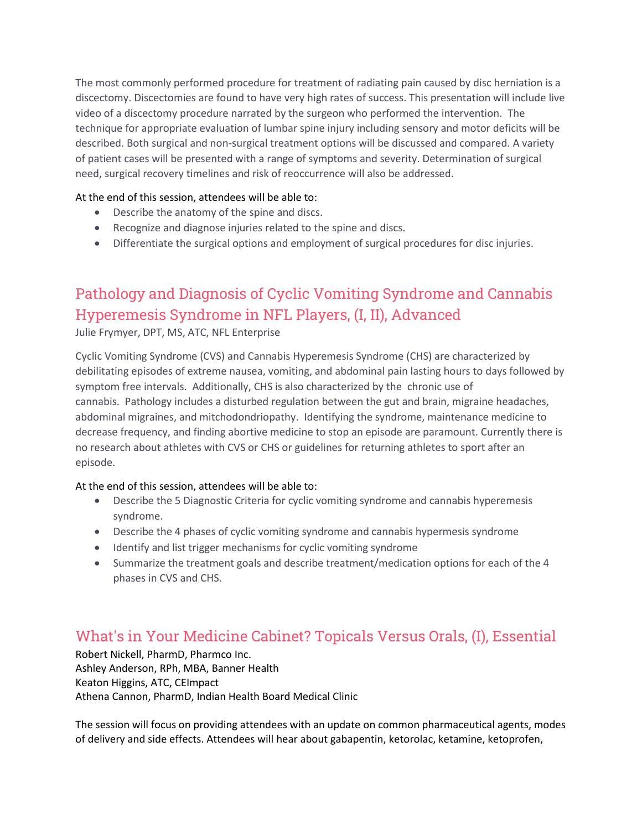The most commonly performed procedure for treatment of radiating pain caused by disc herniation is a discectomy. Discectomies are found to have very high rates of success. This presentation will include live video of a discectomy procedure narrated by the surgeon who performed the intervention. The technique for appropriate evaluation of lumbar spine injury including sensory and motor deficits will be described. Both surgical and non-surgical treatment options will be discussed and compared. A variety of patient cases will be presented with a range of symptoms and severity. Determination of surgical need, surgical recovery timelines and risk of reoccurrence will also be addressed.

#### At the end of this session, attendees will be able to:

- Describe the anatomy of the spine and discs.
- Recognize and diagnose injuries related to the spine and discs.
- Differentiate the surgical options and employment of surgical procedures for disc injuries.

# Pathology and Diagnosis of Cyclic Vomiting Syndrome and Cannabis Hyperemesis Syndrome in NFL Players, (I, II), Advanced

Julie Frymyer, DPT, MS, ATC, NFL Enterprise

Cyclic Vomiting Syndrome (CVS) and Cannabis Hyperemesis Syndrome (CHS) are characterized by debilitating episodes of extreme nausea, vomiting, and abdominal pain lasting hours to days followed by symptom free intervals. Additionally, CHS is also characterized by the chronic use of cannabis. Pathology includes a disturbed regulation between the gut and brain, migraine headaches, abdominal migraines, and mitchodondriopathy. Identifying the syndrome, maintenance medicine to decrease frequency, and finding abortive medicine to stop an episode are paramount. Currently there is no research about athletes with CVS or CHS or guidelines for returning athletes to sport after an episode.

#### At the end of this session, attendees will be able to:

- Describe the 5 Diagnostic Criteria for cyclic vomiting syndrome and cannabis hyperemesis syndrome.
- Describe the 4 phases of cyclic vomiting syndrome and cannabis hypermesis syndrome
- Identify and list trigger mechanisms for cyclic vomiting syndrome
- Summarize the treatment goals and describe treatment/medication options for each of the 4 phases in CVS and CHS.

#### What's in Your Medicine Cabinet? Topicals Versus Orals, (I), Essential

Robert Nickell, PharmD, Pharmco Inc. Ashley Anderson, RPh, MBA, Banner Health Keaton Higgins, ATC, CEImpact Athena Cannon, PharmD, Indian Health Board Medical Clinic

The session will focus on providing attendees with an update on common pharmaceutical agents, modes of delivery and side effects. Attendees will hear about gabapentin, ketorolac, ketamine, ketoprofen,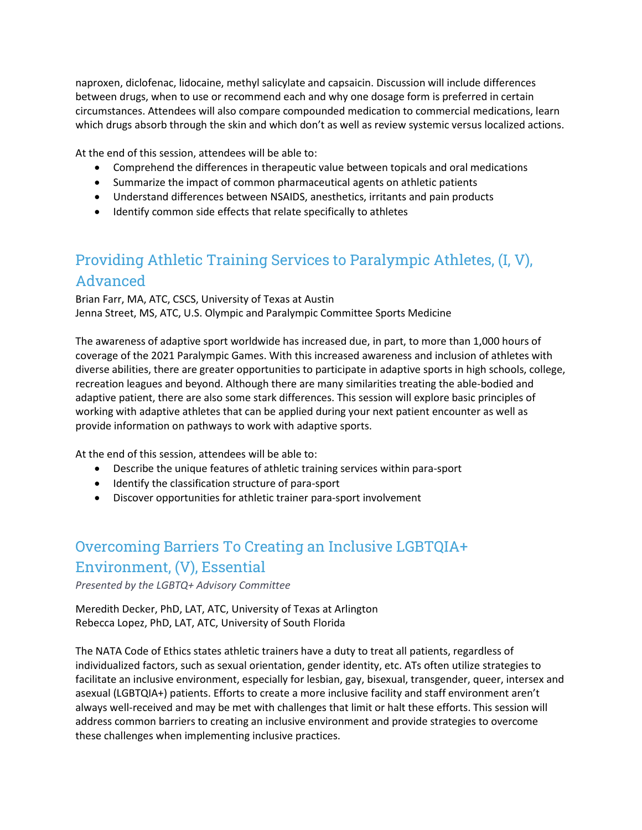naproxen, diclofenac, lidocaine, methyl salicylate and capsaicin. Discussion will include differences between drugs, when to use or recommend each and why one dosage form is preferred in certain circumstances. Attendees will also compare compounded medication to commercial medications, learn which drugs absorb through the skin and which don't as well as review systemic versus localized actions.

At the end of this session, attendees will be able to:

- Comprehend the differences in therapeutic value between topicals and oral medications
- Summarize the impact of common pharmaceutical agents on athletic patients
- Understand differences between NSAIDS, anesthetics, irritants and pain products
- Identify common side effects that relate specifically to athletes

# Providing Athletic Training Services to Paralympic Athletes, (I, V), Advanced

Brian Farr, MA, ATC, CSCS, University of Texas at Austin Jenna Street, MS, ATC, U.S. Olympic and Paralympic Committee Sports Medicine

The awareness of adaptive sport worldwide has increased due, in part, to more than 1,000 hours of coverage of the 2021 Paralympic Games. With this increased awareness and inclusion of athletes with diverse abilities, there are greater opportunities to participate in adaptive sports in high schools, college, recreation leagues and beyond. Although there are many similarities treating the able-bodied and adaptive patient, there are also some stark differences. This session will explore basic principles of working with adaptive athletes that can be applied during your next patient encounter as well as provide information on pathways to work with adaptive sports.

At the end of this session, attendees will be able to:

- Describe the unique features of athletic training services within para-sport
- Identify the classification structure of para-sport
- Discover opportunities for athletic trainer para-sport involvement

#### Overcoming Barriers To Creating an Inclusive LGBTQIA+ Environment, (V), Essential

*Presented by the LGBTQ+ Advisory Committee*

Meredith Decker, PhD, LAT, ATC, University of Texas at Arlington Rebecca Lopez, PhD, LAT, ATC, University of South Florida

The NATA Code of Ethics states athletic trainers have a duty to treat all patients, regardless of individualized factors, such as sexual orientation, gender identity, etc. ATs often utilize strategies to facilitate an inclusive environment, especially for lesbian, gay, bisexual, transgender, queer, intersex and asexual (LGBTQIA+) patients. Efforts to create a more inclusive facility and staff environment aren't always well-received and may be met with challenges that limit or halt these efforts. This session will address common barriers to creating an inclusive environment and provide strategies to overcome these challenges when implementing inclusive practices.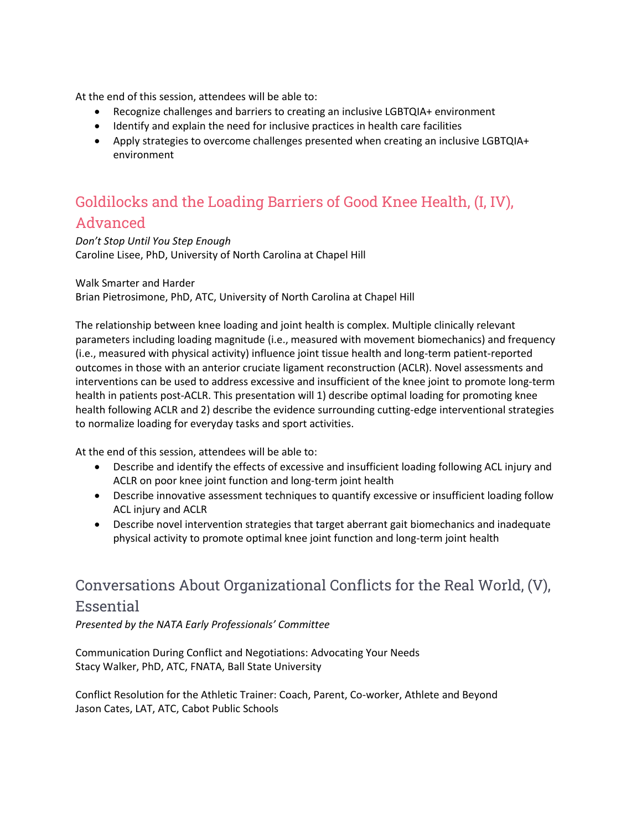At the end of this session, attendees will be able to:

- Recognize challenges and barriers to creating an inclusive LGBTQIA+ environment
- Identify and explain the need for inclusive practices in health care facilities
- Apply strategies to overcome challenges presented when creating an inclusive LGBTQIA+ environment

#### Goldilocks and the Loading Barriers of Good Knee Health, (I, IV), Advanced

*Don't Stop Until You Step Enough* Caroline Lisee, PhD, University of North Carolina at Chapel Hill

Walk Smarter and Harder Brian Pietrosimone, PhD, ATC, University of North Carolina at Chapel Hill

The relationship between knee loading and joint health is complex. Multiple clinically relevant parameters including loading magnitude (i.e., measured with movement biomechanics) and frequency (i.e., measured with physical activity) influence joint tissue health and long-term patient-reported outcomes in those with an anterior cruciate ligament reconstruction (ACLR). Novel assessments and interventions can be used to address excessive and insufficient of the knee joint to promote long-term health in patients post-ACLR. This presentation will 1) describe optimal loading for promoting knee health following ACLR and 2) describe the evidence surrounding cutting-edge interventional strategies to normalize loading for everyday tasks and sport activities.

At the end of this session, attendees will be able to:

- Describe and identify the effects of excessive and insufficient loading following ACL injury and ACLR on poor knee joint function and long-term joint health
- Describe innovative assessment techniques to quantify excessive or insufficient loading follow ACL injury and ACLR
- Describe novel intervention strategies that target aberrant gait biomechanics and inadequate physical activity to promote optimal knee joint function and long-term joint health

#### Conversations About Organizational Conflicts for the Real World, (V), Essential

*Presented by the NATA Early Professionals' Committee*

Communication During Conflict and Negotiations: Advocating Your Needs Stacy Walker, PhD, ATC, FNATA, Ball State University

Conflict Resolution for the Athletic Trainer: Coach, Parent, Co-worker, Athlete and Beyond Jason Cates, LAT, ATC, Cabot Public Schools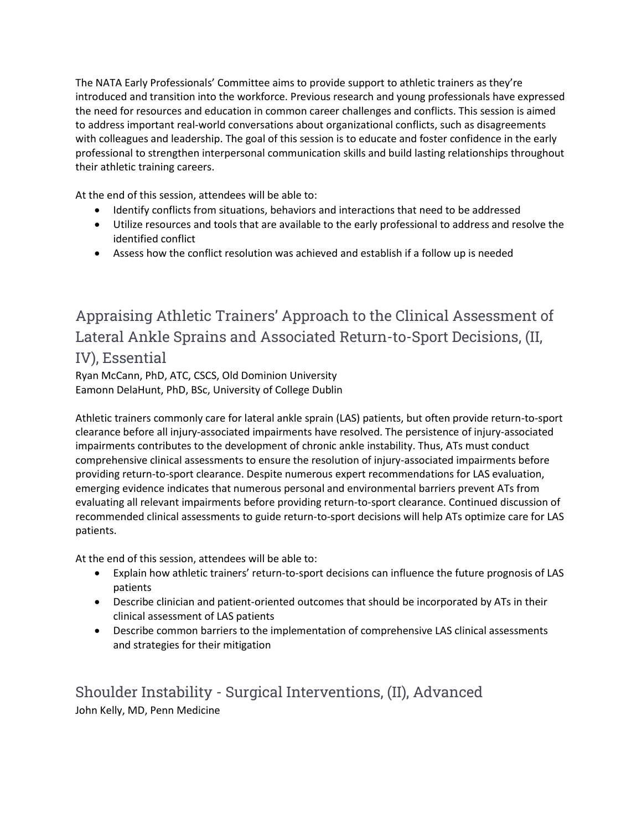The NATA Early Professionals' Committee aims to provide support to athletic trainers as they're introduced and transition into the workforce. Previous research and young professionals have expressed the need for resources and education in common career challenges and conflicts. This session is aimed to address important real-world conversations about organizational conflicts, such as disagreements with colleagues and leadership. The goal of this session is to educate and foster confidence in the early professional to strengthen interpersonal communication skills and build lasting relationships throughout their athletic training careers.

At the end of this session, attendees will be able to:

- Identify conflicts from situations, behaviors and interactions that need to be addressed
- Utilize resources and tools that are available to the early professional to address and resolve the identified conflict
- Assess how the conflict resolution was achieved and establish if a follow up is needed

# Appraising Athletic Trainers' Approach to the Clinical Assessment of Lateral Ankle Sprains and Associated Return-to-Sport Decisions, (II, IV), Essential

Ryan McCann, PhD, ATC, CSCS, Old Dominion University Eamonn DelaHunt, PhD, BSc, University of College Dublin

Athletic trainers commonly care for lateral ankle sprain (LAS) patients, but often provide return-to-sport clearance before all injury-associated impairments have resolved. The persistence of injury-associated impairments contributes to the development of chronic ankle instability. Thus, ATs must conduct comprehensive clinical assessments to ensure the resolution of injury-associated impairments before providing return-to-sport clearance. Despite numerous expert recommendations for LAS evaluation, emerging evidence indicates that numerous personal and environmental barriers prevent ATs from evaluating all relevant impairments before providing return-to-sport clearance. Continued discussion of recommended clinical assessments to guide return-to-sport decisions will help ATs optimize care for LAS patients.

At the end of this session, attendees will be able to:

- Explain how athletic trainers' return-to-sport decisions can influence the future prognosis of LAS patients
- Describe clinician and patient-oriented outcomes that should be incorporated by ATs in their clinical assessment of LAS patients
- Describe common barriers to the implementation of comprehensive LAS clinical assessments and strategies for their mitigation

Shoulder Instability - Surgical Interventions, (II), Advanced John Kelly, MD, Penn Medicine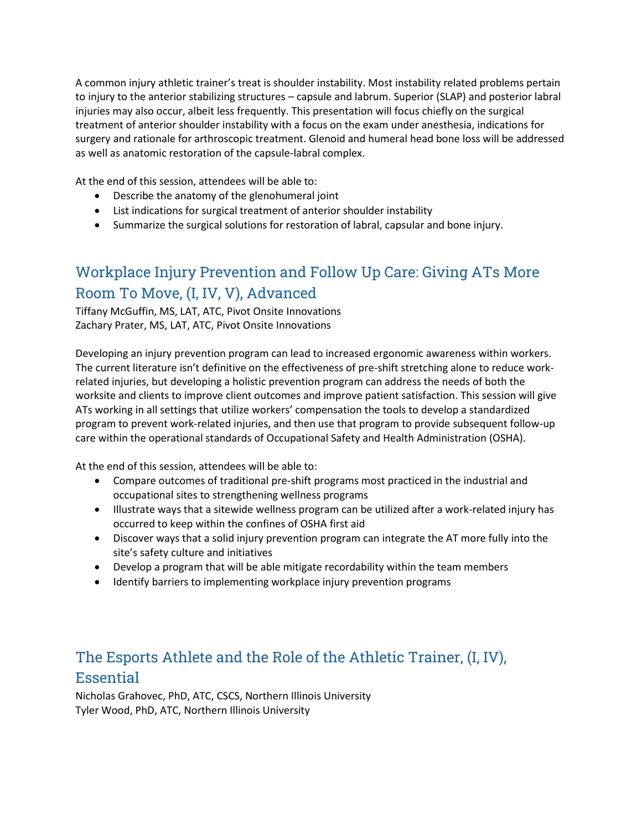A common injury athletic trainer's treat is shoulder instability. Most instability related problems pertain to injury to the anterior stabilizing structures – capsule and labrum. Superior (SLAP) and posterior labral injuries may also occur, albeit less frequently. This presentation will focus chiefly on the surgical treatment of anterior shoulder instability with a focus on the exam under anesthesia, indications for surgery and rationale for arthroscopic treatment. Glenoid and humeral head bone loss will be addressed as well as anatomic restoration of the capsule-labral complex.

At the end of this session, attendees will be able to:

- Describe the anatomy of the glenohumeral joint
- List indications for surgical treatment of anterior shoulder instability
- Summarize the surgical solutions for restoration of labral, capsular and bone injury.

# Workplace Injury Prevention and Follow Up Care: Giving ATs More Room To Move, (I, IV, V), Advanced

Tiffany McGuffin, MS, LAT, ATC, Pivot Onsite Innovations Zachary Prater, MS, LAT, ATC, Pivot Onsite Innovations

Developing an injury prevention program can lead to increased ergonomic awareness within workers. The current literature isn't definitive on the effectiveness of pre-shift stretching alone to reduce workrelated injuries, but developing a holistic prevention program can address the needs of both the worksite and clients to improve client outcomes and improve patient satisfaction. This session will give ATs working in all settings that utilize workers' compensation the tools to develop a standardized program to prevent work-related injuries, and then use that program to provide subsequent follow-up care within the operational standards of Occupational Safety and Health Administration (OSHA).

At the end of this session, attendees will be able to:

- Compare outcomes of traditional pre-shift programs most practiced in the industrial and occupational sites to strengthening wellness programs
- Illustrate ways that a sitewide wellness program can be utilized after a work-related injury has occurred to keep within the confines of OSHA first aid
- Discover ways that a solid injury prevention program can integrate the AT more fully into the site's safety culture and initiatives
- Develop a program that will be able mitigate recordability within the team members
- Identify barriers to implementing workplace injury prevention programs

# The Esports Athlete and the Role of the Athletic Trainer, (I, IV), **Essential**

Nicholas Grahovec, PhD, ATC, CSCS, Northern Illinois University Tyler Wood, PhD, ATC, Northern Illinois University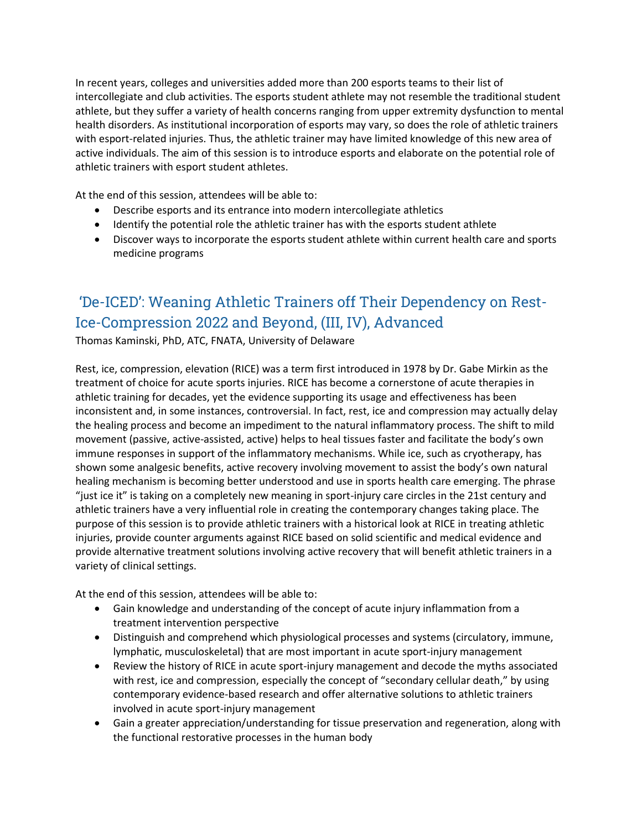In recent years, colleges and universities added more than 200 esports teams to their list of intercollegiate and club activities. The esports student athlete may not resemble the traditional student athlete, but they suffer a variety of health concerns ranging from upper extremity dysfunction to mental health disorders. As institutional incorporation of esports may vary, so does the role of athletic trainers with esport-related injuries. Thus, the athletic trainer may have limited knowledge of this new area of active individuals. The aim of this session is to introduce esports and elaborate on the potential role of athletic trainers with esport student athletes.

At the end of this session, attendees will be able to:

- Describe esports and its entrance into modern intercollegiate athletics
- Identify the potential role the athletic trainer has with the esports student athlete
- Discover ways to incorporate the esports student athlete within current health care and sports medicine programs

# 'De-ICED': Weaning Athletic Trainers off Their Dependency on Rest-Ice-Compression 2022 and Beyond, (III, IV), Advanced

Thomas Kaminski, PhD, ATC, FNATA, University of Delaware

Rest, ice, compression, elevation (RICE) was a term first introduced in 1978 by Dr. Gabe Mirkin as the treatment of choice for acute sports injuries. RICE has become a cornerstone of acute therapies in athletic training for decades, yet the evidence supporting its usage and effectiveness has been inconsistent and, in some instances, controversial. In fact, rest, ice and compression may actually delay the healing process and become an impediment to the natural inflammatory process. The shift to mild movement (passive, active-assisted, active) helps to heal tissues faster and facilitate the body's own immune responses in support of the inflammatory mechanisms. While ice, such as cryotherapy, has shown some analgesic benefits, active recovery involving movement to assist the body's own natural healing mechanism is becoming better understood and use in sports health care emerging. The phrase "just ice it" is taking on a completely new meaning in sport-injury care circles in the 21st century and athletic trainers have a very influential role in creating the contemporary changes taking place. The purpose of this session is to provide athletic trainers with a historical look at RICE in treating athletic injuries, provide counter arguments against RICE based on solid scientific and medical evidence and provide alternative treatment solutions involving active recovery that will benefit athletic trainers in a variety of clinical settings.

- Gain knowledge and understanding of the concept of acute injury inflammation from a treatment intervention perspective
- Distinguish and comprehend which physiological processes and systems (circulatory, immune, lymphatic, musculoskeletal) that are most important in acute sport-injury management
- Review the history of RICE in acute sport-injury management and decode the myths associated with rest, ice and compression, especially the concept of "secondary cellular death," by using contemporary evidence-based research and offer alternative solutions to athletic trainers involved in acute sport-injury management
- Gain a greater appreciation/understanding for tissue preservation and regeneration, along with the functional restorative processes in the human body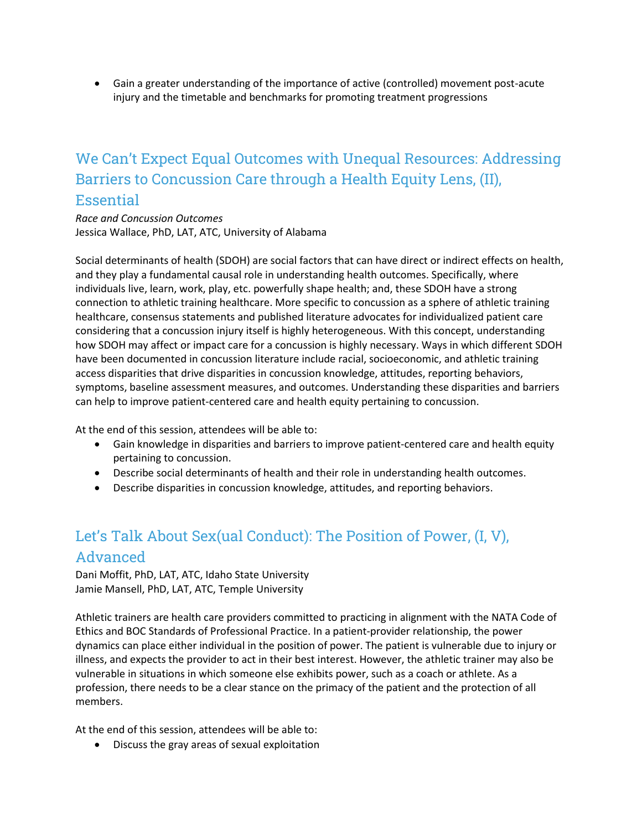Gain a greater understanding of the importance of active (controlled) movement post-acute injury and the timetable and benchmarks for promoting treatment progressions

#### We Can't Expect Equal Outcomes with Unequal Resources: Addressing Barriers to Concussion Care through a Health Equity Lens, (II), Essential

*Race and Concussion Outcomes* Jessica Wallace, PhD, LAT, ATC, University of Alabama

Social determinants of health (SDOH) are social factors that can have direct or indirect effects on health, and they play a fundamental causal role in understanding health outcomes. Specifically, where individuals live, learn, work, play, etc. powerfully shape health; and, these SDOH have a strong connection to athletic training healthcare. More specific to concussion as a sphere of athletic training healthcare, consensus statements and published literature advocates for individualized patient care considering that a concussion injury itself is highly heterogeneous. With this concept, understanding how SDOH may affect or impact care for a concussion is highly necessary. Ways in which different SDOH have been documented in concussion literature include racial, socioeconomic, and athletic training access disparities that drive disparities in concussion knowledge, attitudes, reporting behaviors, symptoms, baseline assessment measures, and outcomes. Understanding these disparities and barriers can help to improve patient-centered care and health equity pertaining to concussion.

At the end of this session, attendees will be able to:

- Gain knowledge in disparities and barriers to improve patient-centered care and health equity pertaining to concussion.
- Describe social determinants of health and their role in understanding health outcomes.
- Describe disparities in concussion knowledge, attitudes, and reporting behaviors.

# Let's Talk About Sex(ual Conduct): The Position of Power, (I, V), Advanced

Dani Moffit, PhD, LAT, ATC, Idaho State University Jamie Mansell, PhD, LAT, ATC, Temple University

Athletic trainers are health care providers committed to practicing in alignment with the NATA Code of Ethics and BOC Standards of Professional Practice. In a patient-provider relationship, the power dynamics can place either individual in the position of power. The patient is vulnerable due to injury or illness, and expects the provider to act in their best interest. However, the athletic trainer may also be vulnerable in situations in which someone else exhibits power, such as a coach or athlete. As a profession, there needs to be a clear stance on the primacy of the patient and the protection of all members.

At the end of this session, attendees will be able to:

Discuss the gray areas of sexual exploitation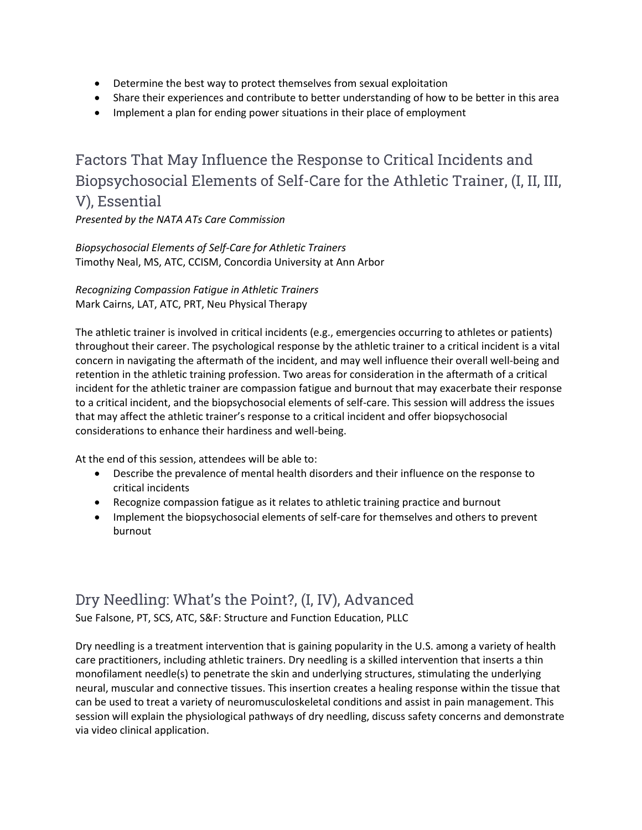- Determine the best way to protect themselves from sexual exploitation
- Share their experiences and contribute to better understanding of how to be better in this area
- Implement a plan for ending power situations in their place of employment

Factors That May Influence the Response to Critical Incidents and Biopsychosocial Elements of Self-Care for the Athletic Trainer, (I, II, III, V), Essential *Presented by the NATA ATs Care Commission*

*Biopsychosocial Elements of Self-Care for Athletic Trainers*

Timothy Neal, MS, ATC, CCISM, Concordia University at Ann Arbor

*Recognizing Compassion Fatigue in Athletic Trainers* Mark Cairns, LAT, ATC, PRT, Neu Physical Therapy

The athletic trainer is involved in critical incidents (e.g., emergencies occurring to athletes or patients) throughout their career. The psychological response by the athletic trainer to a critical incident is a vital concern in navigating the aftermath of the incident, and may well influence their overall well-being and retention in the athletic training profession. Two areas for consideration in the aftermath of a critical incident for the athletic trainer are compassion fatigue and burnout that may exacerbate their response to a critical incident, and the biopsychosocial elements of self-care. This session will address the issues that may affect the athletic trainer's response to a critical incident and offer biopsychosocial considerations to enhance their hardiness and well-being.

At the end of this session, attendees will be able to:

- Describe the prevalence of mental health disorders and their influence on the response to critical incidents
- Recognize compassion fatigue as it relates to athletic training practice and burnout
- Implement the biopsychosocial elements of self-care for themselves and others to prevent burnout

#### Dry Needling: What's the Point?, (I, IV), Advanced

Sue Falsone, PT, SCS, ATC, S&F: Structure and Function Education, PLLC

Dry needling is a treatment intervention that is gaining popularity in the U.S. among a variety of health care practitioners, including athletic trainers. Dry needling is a skilled intervention that inserts a thin monofilament needle(s) to penetrate the skin and underlying structures, stimulating the underlying neural, muscular and connective tissues. This insertion creates a healing response within the tissue that can be used to treat a variety of neuromusculoskeletal conditions and assist in pain management. This session will explain the physiological pathways of dry needling, discuss safety concerns and demonstrate via video clinical application.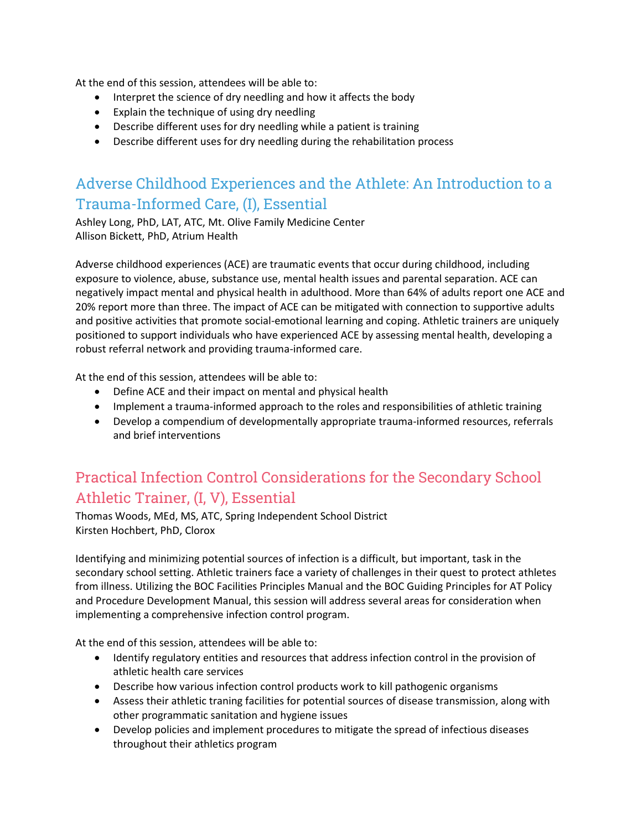At the end of this session, attendees will be able to:

- Interpret the science of dry needling and how it affects the body
- Explain the technique of using dry needling
- Describe different uses for dry needling while a patient is training
- Describe different uses for dry needling during the rehabilitation process

# Adverse Childhood Experiences and the Athlete: An Introduction to a Trauma-Informed Care, (I), Essential

Ashley Long, PhD, LAT, ATC, Mt. Olive Family Medicine Center Allison Bickett, PhD, Atrium Health

Adverse childhood experiences (ACE) are traumatic events that occur during childhood, including exposure to violence, abuse, substance use, mental health issues and parental separation. ACE can negatively impact mental and physical health in adulthood. More than 64% of adults report one ACE and 20% report more than three. The impact of ACE can be mitigated with connection to supportive adults and positive activities that promote social-emotional learning and coping. Athletic trainers are uniquely positioned to support individuals who have experienced ACE by assessing mental health, developing a robust referral network and providing trauma-informed care.

At the end of this session, attendees will be able to:

- Define ACE and their impact on mental and physical health
- Implement a trauma-informed approach to the roles and responsibilities of athletic training
- Develop a compendium of developmentally appropriate trauma-informed resources, referrals and brief interventions

# Practical Infection Control Considerations for the Secondary School Athletic Trainer, (I, V), Essential

Thomas Woods, MEd, MS, ATC, Spring Independent School District Kirsten Hochbert, PhD, Clorox

Identifying and minimizing potential sources of infection is a difficult, but important, task in the secondary school setting. Athletic trainers face a variety of challenges in their quest to protect athletes from illness. Utilizing the BOC Facilities Principles Manual and the BOC Guiding Principles for AT Policy and Procedure Development Manual, this session will address several areas for consideration when implementing a comprehensive infection control program.

- Identify regulatory entities and resources that address infection control in the provision of athletic health care services
- Describe how various infection control products work to kill pathogenic organisms
- Assess their athletic traning facilities for potential sources of disease transmission, along with other programmatic sanitation and hygiene issues
- Develop policies and implement procedures to mitigate the spread of infectious diseases throughout their athletics program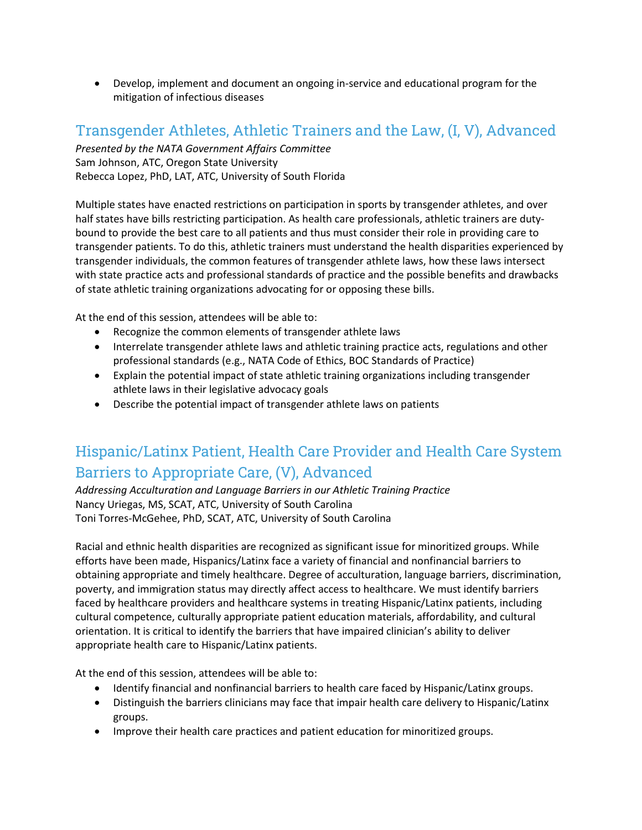Develop, implement and document an ongoing in-service and educational program for the mitigation of infectious diseases

#### Transgender Athletes, Athletic Trainers and the Law, (I, V), Advanced

*Presented by the NATA Government Affairs Committee* Sam Johnson, ATC, Oregon State University Rebecca Lopez, PhD, LAT, ATC, University of South Florida

Multiple states have enacted restrictions on participation in sports by transgender athletes, and over half states have bills restricting participation. As health care professionals, athletic trainers are dutybound to provide the best care to all patients and thus must consider their role in providing care to transgender patients. To do this, athletic trainers must understand the health disparities experienced by transgender individuals, the common features of transgender athlete laws, how these laws intersect with state practice acts and professional standards of practice and the possible benefits and drawbacks of state athletic training organizations advocating for or opposing these bills.

At the end of this session, attendees will be able to:

- Recognize the common elements of transgender athlete laws
- Interrelate transgender athlete laws and athletic training practice acts, regulations and other professional standards (e.g., NATA Code of Ethics, BOC Standards of Practice)
- Explain the potential impact of state athletic training organizations including transgender athlete laws in their legislative advocacy goals
- Describe the potential impact of transgender athlete laws on patients

# Hispanic/Latinx Patient, Health Care Provider and Health Care System Barriers to Appropriate Care, (V), Advanced

*Addressing Acculturation and Language Barriers in our Athletic Training Practice* Nancy Uriegas, MS, SCAT, ATC, University of South Carolina Toni Torres-McGehee, PhD, SCAT, ATC, University of South Carolina

Racial and ethnic health disparities are recognized as significant issue for minoritized groups. While efforts have been made, Hispanics/Latinx face a variety of financial and nonfinancial barriers to obtaining appropriate and timely healthcare. Degree of acculturation, language barriers, discrimination, poverty, and immigration status may directly affect access to healthcare. We must identify barriers faced by healthcare providers and healthcare systems in treating Hispanic/Latinx patients, including cultural competence, culturally appropriate patient education materials, affordability, and cultural orientation. It is critical to identify the barriers that have impaired clinician's ability to deliver appropriate health care to Hispanic/Latinx patients.

- Identify financial and nonfinancial barriers to health care faced by Hispanic/Latinx groups.
- Distinguish the barriers clinicians may face that impair health care delivery to Hispanic/Latinx groups.
- Improve their health care practices and patient education for minoritized groups.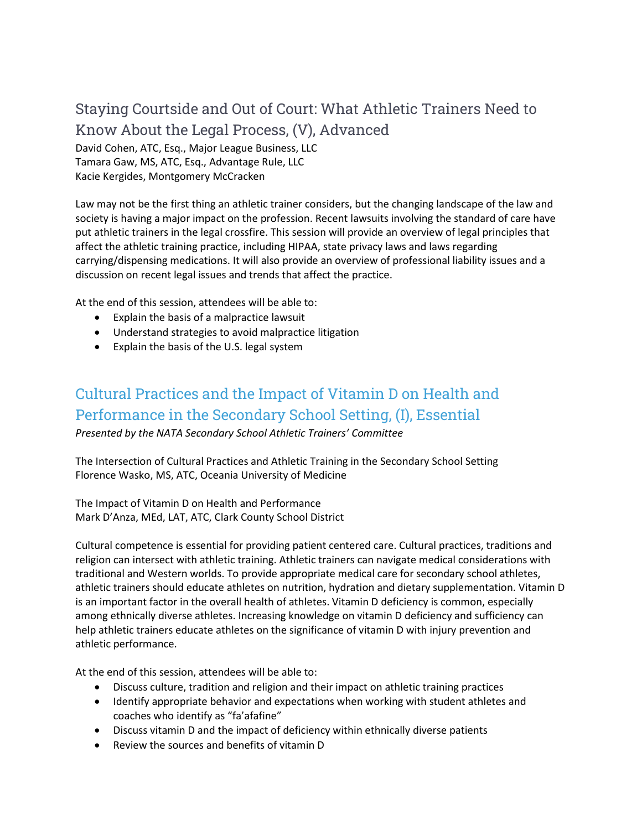## Staying Courtside and Out of Court: What Athletic Trainers Need to Know About the Legal Process, (V), Advanced

David Cohen, ATC, Esq., Major League Business, LLC Tamara Gaw, MS, ATC, Esq., Advantage Rule, LLC Kacie Kergides, Montgomery McCracken

Law may not be the first thing an athletic trainer considers, but the changing landscape of the law and society is having a major impact on the profession. Recent lawsuits involving the standard of care have put athletic trainers in the legal crossfire. This session will provide an overview of legal principles that affect the athletic training practice, including HIPAA, state privacy laws and laws regarding carrying/dispensing medications. It will also provide an overview of professional liability issues and a discussion on recent legal issues and trends that affect the practice.

At the end of this session, attendees will be able to:

- Explain the basis of a malpractice lawsuit
- Understand strategies to avoid malpractice litigation
- Explain the basis of the U.S. legal system

# Cultural Practices and the Impact of Vitamin D on Health and Performance in the Secondary School Setting, (I), Essential

*Presented by the NATA Secondary School Athletic Trainers' Committee*

The Intersection of Cultural Practices and Athletic Training in the Secondary School Setting Florence Wasko, MS, ATC, Oceania University of Medicine

The Impact of Vitamin D on Health and Performance Mark D'Anza, MEd, LAT, ATC, Clark County School District

Cultural competence is essential for providing patient centered care. Cultural practices, traditions and religion can intersect with athletic training. Athletic trainers can navigate medical considerations with traditional and Western worlds. To provide appropriate medical care for secondary school athletes, athletic trainers should educate athletes on nutrition, hydration and dietary supplementation. Vitamin D is an important factor in the overall health of athletes. Vitamin D deficiency is common, especially among ethnically diverse athletes. Increasing knowledge on vitamin D deficiency and sufficiency can help athletic trainers educate athletes on the significance of vitamin D with injury prevention and athletic performance.

- Discuss culture, tradition and religion and their impact on athletic training practices
- Identify appropriate behavior and expectations when working with student athletes and coaches who identify as "fa'afafine"
- Discuss vitamin D and the impact of deficiency within ethnically diverse patients
- Review the sources and benefits of vitamin D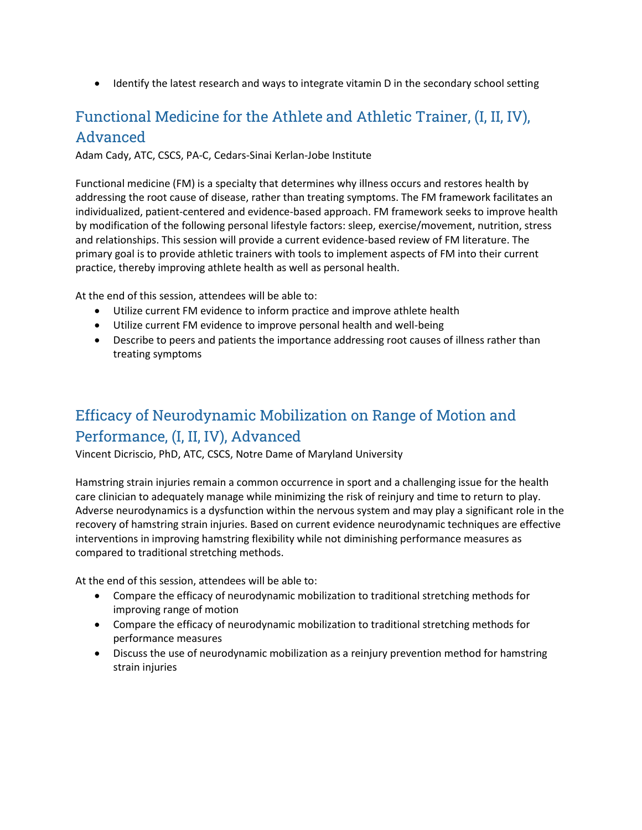• Identify the latest research and ways to integrate vitamin D in the secondary school setting

# Functional Medicine for the Athlete and Athletic Trainer, (I, II, IV), Advanced

Adam Cady, ATC, CSCS, PA-C, Cedars-Sinai Kerlan-Jobe Institute

Functional medicine (FM) is a specialty that determines why illness occurs and restores health by addressing the root cause of disease, rather than treating symptoms. The FM framework facilitates an individualized, patient-centered and evidence-based approach. FM framework seeks to improve health by modification of the following personal lifestyle factors: sleep, exercise/movement, nutrition, stress and relationships. This session will provide a current evidence-based review of FM literature. The primary goal is to provide athletic trainers with tools to implement aspects of FM into their current practice, thereby improving athlete health as well as personal health.

At the end of this session, attendees will be able to:

- Utilize current FM evidence to inform practice and improve athlete health
- Utilize current FM evidence to improve personal health and well-being
- Describe to peers and patients the importance addressing root causes of illness rather than treating symptoms

# Efficacy of Neurodynamic Mobilization on Range of Motion and Performance, (I, II, IV), Advanced

Vincent Dicriscio, PhD, ATC, CSCS, Notre Dame of Maryland University

Hamstring strain injuries remain a common occurrence in sport and a challenging issue for the health care clinician to adequately manage while minimizing the risk of reinjury and time to return to play. Adverse neurodynamics is a dysfunction within the nervous system and may play a significant role in the recovery of hamstring strain injuries. Based on current evidence neurodynamic techniques are effective interventions in improving hamstring flexibility while not diminishing performance measures as compared to traditional stretching methods.

- Compare the efficacy of neurodynamic mobilization to traditional stretching methods for improving range of motion
- Compare the efficacy of neurodynamic mobilization to traditional stretching methods for performance measures
- Discuss the use of neurodynamic mobilization as a reinjury prevention method for hamstring strain injuries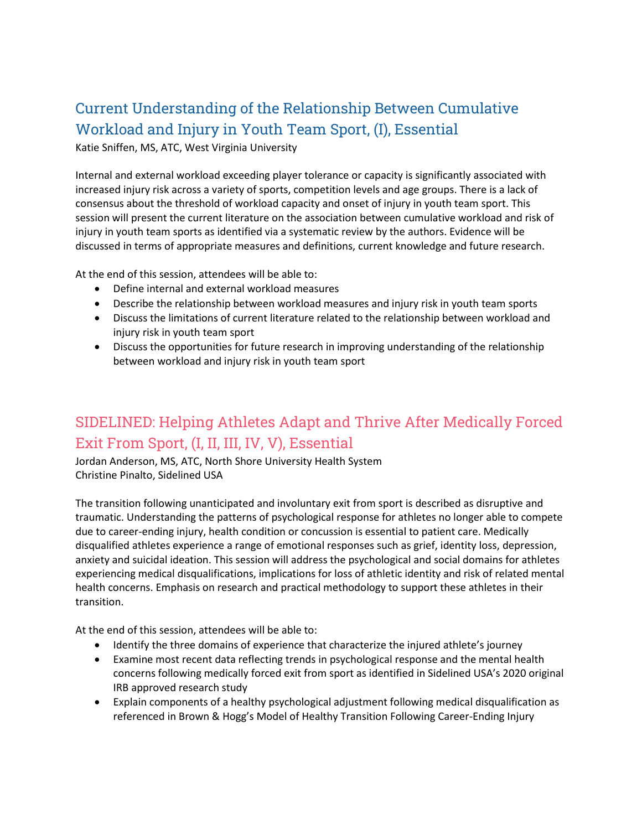# Current Understanding of the Relationship Between Cumulative Workload and Injury in Youth Team Sport, (I), Essential

Katie Sniffen, MS, ATC, West Virginia University

Internal and external workload exceeding player tolerance or capacity is significantly associated with increased injury risk across a variety of sports, competition levels and age groups. There is a lack of consensus about the threshold of workload capacity and onset of injury in youth team sport. This session will present the current literature on the association between cumulative workload and risk of injury in youth team sports as identified via a systematic review by the authors. Evidence will be discussed in terms of appropriate measures and definitions, current knowledge and future research.

At the end of this session, attendees will be able to:

- Define internal and external workload measures
- Describe the relationship between workload measures and injury risk in youth team sports
- Discuss the limitations of current literature related to the relationship between workload and injury risk in youth team sport
- Discuss the opportunities for future research in improving understanding of the relationship between workload and injury risk in youth team sport

#### SIDELINED: Helping Athletes Adapt and Thrive After Medically Forced Exit From Sport, (I, II, III, IV, V), Essential

Jordan Anderson, MS, ATC, North Shore University Health System Christine Pinalto, Sidelined USA

The transition following unanticipated and involuntary exit from sport is described as disruptive and traumatic. Understanding the patterns of psychological response for athletes no longer able to compete due to career-ending injury, health condition or concussion is essential to patient care. Medically disqualified athletes experience a range of emotional responses such as grief, identity loss, depression, anxiety and suicidal ideation. This session will address the psychological and social domains for athletes experiencing medical disqualifications, implications for loss of athletic identity and risk of related mental health concerns. Emphasis on research and practical methodology to support these athletes in their transition.

- Identify the three domains of experience that characterize the injured athlete's journey
- Examine most recent data reflecting trends in psychological response and the mental health concerns following medically forced exit from sport as identified in Sidelined USA's 2020 original IRB approved research study
- Explain components of a healthy psychological adjustment following medical disqualification as referenced in Brown & Hogg's Model of Healthy Transition Following Career-Ending Injury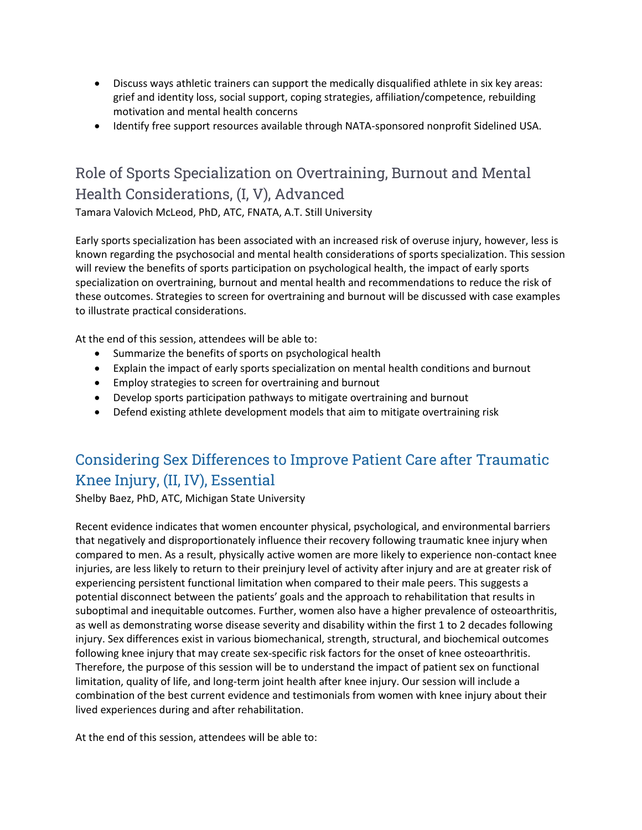- Discuss ways athletic trainers can support the medically disqualified athlete in six key areas: grief and identity loss, social support, coping strategies, affiliation/competence, rebuilding motivation and mental health concerns
- Identify free support resources available through NATA-sponsored nonprofit Sidelined USA.

# Role of Sports Specialization on Overtraining, Burnout and Mental Health Considerations, (I, V), Advanced

Tamara Valovich McLeod, PhD, ATC, FNATA, A.T. Still University

Early sports specialization has been associated with an increased risk of overuse injury, however, less is known regarding the psychosocial and mental health considerations of sports specialization. This session will review the benefits of sports participation on psychological health, the impact of early sports specialization on overtraining, burnout and mental health and recommendations to reduce the risk of these outcomes. Strategies to screen for overtraining and burnout will be discussed with case examples to illustrate practical considerations.

At the end of this session, attendees will be able to:

- Summarize the benefits of sports on psychological health
- Explain the impact of early sports specialization on mental health conditions and burnout
- Employ strategies to screen for overtraining and burnout
- Develop sports participation pathways to mitigate overtraining and burnout
- Defend existing athlete development models that aim to mitigate overtraining risk

# Considering Sex Differences to Improve Patient Care after Traumatic Knee Injury, (II, IV), Essential

Shelby Baez, PhD, ATC, Michigan State University

Recent evidence indicates that women encounter physical, psychological, and environmental barriers that negatively and disproportionately influence their recovery following traumatic knee injury when compared to men. As a result, physically active women are more likely to experience non-contact knee injuries, are less likely to return to their preinjury level of activity after injury and are at greater risk of experiencing persistent functional limitation when compared to their male peers. This suggests a potential disconnect between the patients' goals and the approach to rehabilitation that results in suboptimal and inequitable outcomes. Further, women also have a higher prevalence of osteoarthritis, as well as demonstrating worse disease severity and disability within the first 1 to 2 decades following injury. Sex differences exist in various biomechanical, strength, structural, and biochemical outcomes following knee injury that may create sex-specific risk factors for the onset of knee osteoarthritis. Therefore, the purpose of this session will be to understand the impact of patient sex on functional limitation, quality of life, and long-term joint health after knee injury. Our session will include a combination of the best current evidence and testimonials from women with knee injury about their lived experiences during and after rehabilitation.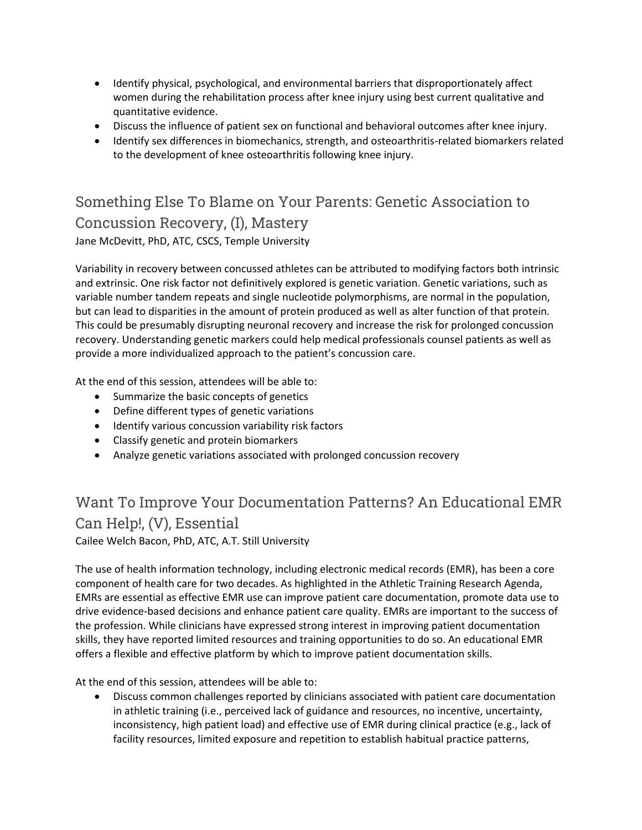- Identify physical, psychological, and environmental barriers that disproportionately affect women during the rehabilitation process after knee injury using best current qualitative and quantitative evidence.
- Discuss the influence of patient sex on functional and behavioral outcomes after knee injury.
- Identify sex differences in biomechanics, strength, and osteoarthritis-related biomarkers related to the development of knee osteoarthritis following knee injury.

Something Else To Blame on Your Parents: Genetic Association to Concussion Recovery, (I), Mastery Jane McDevitt, PhD, ATC, CSCS, Temple University

Variability in recovery between concussed athletes can be attributed to modifying factors both intrinsic and extrinsic. One risk factor not definitively explored is genetic variation. Genetic variations, such as variable number tandem repeats and single nucleotide polymorphisms, are normal in the population, but can lead to disparities in the amount of protein produced as well as alter function of that protein. This could be presumably disrupting neuronal recovery and increase the risk for prolonged concussion recovery. Understanding genetic markers could help medical professionals counsel patients as well as provide a more individualized approach to the patient's concussion care.

At the end of this session, attendees will be able to:

- Summarize the basic concepts of genetics
- Define different types of genetic variations
- $\bullet$  Identify various concussion variability risk factors
- Classify genetic and protein biomarkers
- Analyze genetic variations associated with prolonged concussion recovery

# Want To Improve Your Documentation Patterns? An Educational EMR Can Help!, (V), Essential

Cailee Welch Bacon, PhD, ATC, A.T. Still University

The use of health information technology, including electronic medical records (EMR), has been a core component of health care for two decades. As highlighted in the Athletic Training Research Agenda, EMRs are essential as effective EMR use can improve patient care documentation, promote data use to drive evidence-based decisions and enhance patient care quality. EMRs are important to the success of the profession. While clinicians have expressed strong interest in improving patient documentation skills, they have reported limited resources and training opportunities to do so. An educational EMR offers a flexible and effective platform by which to improve patient documentation skills.

At the end of this session, attendees will be able to:

 Discuss common challenges reported by clinicians associated with patient care documentation in athletic training (i.e., perceived lack of guidance and resources, no incentive, uncertainty, inconsistency, high patient load) and effective use of EMR during clinical practice (e.g., lack of facility resources, limited exposure and repetition to establish habitual practice patterns,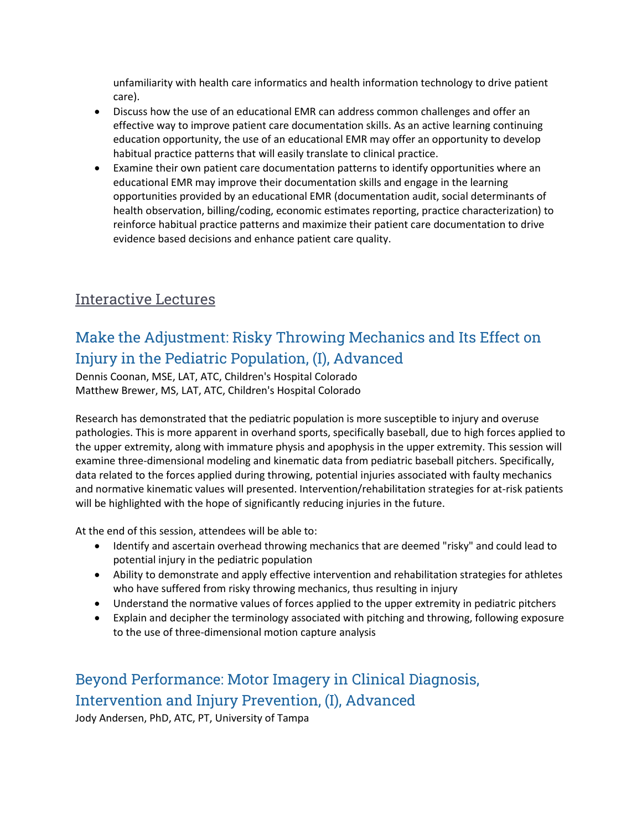unfamiliarity with health care informatics and health information technology to drive patient care).

- Discuss how the use of an educational EMR can address common challenges and offer an effective way to improve patient care documentation skills. As an active learning continuing education opportunity, the use of an educational EMR may offer an opportunity to develop habitual practice patterns that will easily translate to clinical practice.
- Examine their own patient care documentation patterns to identify opportunities where an educational EMR may improve their documentation skills and engage in the learning opportunities provided by an educational EMR (documentation audit, social determinants of health observation, billing/coding, economic estimates reporting, practice characterization) to reinforce habitual practice patterns and maximize their patient care documentation to drive evidence based decisions and enhance patient care quality.

#### **Interactive Lectures**

# Make the Adjustment: Risky Throwing Mechanics and Its Effect on Injury in the Pediatric Population, (I), Advanced

Dennis Coonan, MSE, LAT, ATC, Children's Hospital Colorado Matthew Brewer, MS, LAT, ATC, Children's Hospital Colorado

Research has demonstrated that the pediatric population is more susceptible to injury and overuse pathologies. This is more apparent in overhand sports, specifically baseball, due to high forces applied to the upper extremity, along with immature physis and apophysis in the upper extremity. This session will examine three-dimensional modeling and kinematic data from pediatric baseball pitchers. Specifically, data related to the forces applied during throwing, potential injuries associated with faulty mechanics and normative kinematic values will presented. Intervention/rehabilitation strategies for at-risk patients will be highlighted with the hope of significantly reducing injuries in the future.

At the end of this session, attendees will be able to:

- Identify and ascertain overhead throwing mechanics that are deemed "risky" and could lead to potential injury in the pediatric population
- Ability to demonstrate and apply effective intervention and rehabilitation strategies for athletes who have suffered from risky throwing mechanics, thus resulting in injury
- Understand the normative values of forces applied to the upper extremity in pediatric pitchers
- Explain and decipher the terminology associated with pitching and throwing, following exposure to the use of three-dimensional motion capture analysis

## Beyond Performance: Motor Imagery in Clinical Diagnosis, Intervention and Injury Prevention, (I), Advanced

Jody Andersen, PhD, ATC, PT, University of Tampa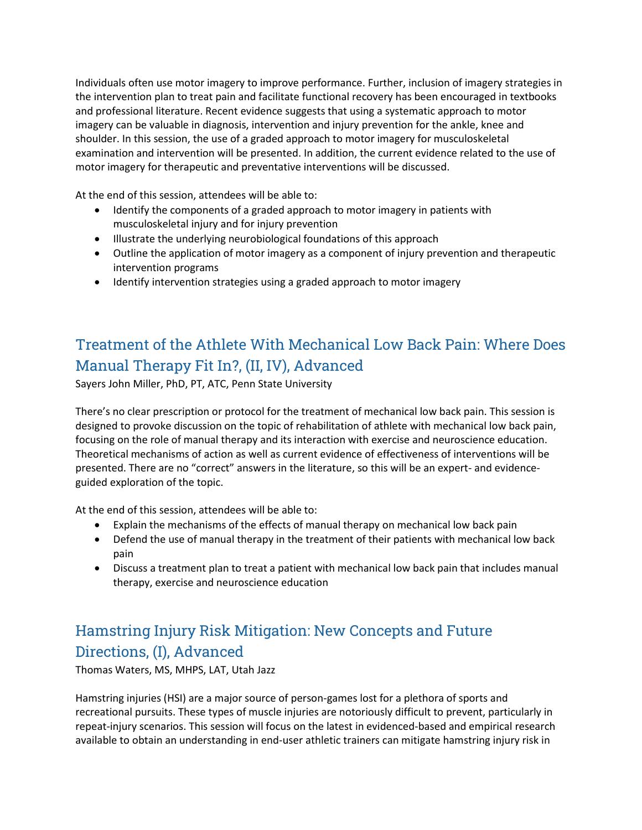Individuals often use motor imagery to improve performance. Further, inclusion of imagery strategies in the intervention plan to treat pain and facilitate functional recovery has been encouraged in textbooks and professional literature. Recent evidence suggests that using a systematic approach to motor imagery can be valuable in diagnosis, intervention and injury prevention for the ankle, knee and shoulder. In this session, the use of a graded approach to motor imagery for musculoskeletal examination and intervention will be presented. In addition, the current evidence related to the use of motor imagery for therapeutic and preventative interventions will be discussed.

At the end of this session, attendees will be able to:

- Identify the components of a graded approach to motor imagery in patients with musculoskeletal injury and for injury prevention
- Illustrate the underlying neurobiological foundations of this approach
- Outline the application of motor imagery as a component of injury prevention and therapeutic intervention programs
- Identify intervention strategies using a graded approach to motor imagery

# Treatment of the Athlete With Mechanical Low Back Pain: Where Does Manual Therapy Fit In?, (II, IV), Advanced

Sayers John Miller, PhD, PT, ATC, Penn State University

There's no clear prescription or protocol for the treatment of mechanical low back pain. This session is designed to provoke discussion on the topic of rehabilitation of athlete with mechanical low back pain, focusing on the role of manual therapy and its interaction with exercise and neuroscience education. Theoretical mechanisms of action as well as current evidence of effectiveness of interventions will be presented. There are no "correct" answers in the literature, so this will be an expert- and evidenceguided exploration of the topic.

At the end of this session, attendees will be able to:

- Explain the mechanisms of the effects of manual therapy on mechanical low back pain
- Defend the use of manual therapy in the treatment of their patients with mechanical low back pain
- Discuss a treatment plan to treat a patient with mechanical low back pain that includes manual therapy, exercise and neuroscience education

# Hamstring Injury Risk Mitigation: New Concepts and Future Directions, (I), Advanced

Thomas Waters, MS, MHPS, LAT, Utah Jazz

Hamstring injuries (HSI) are a major source of person-games lost for a plethora of sports and recreational pursuits. These types of muscle injuries are notoriously difficult to prevent, particularly in repeat-injury scenarios. This session will focus on the latest in evidenced-based and empirical research available to obtain an understanding in end-user athletic trainers can mitigate hamstring injury risk in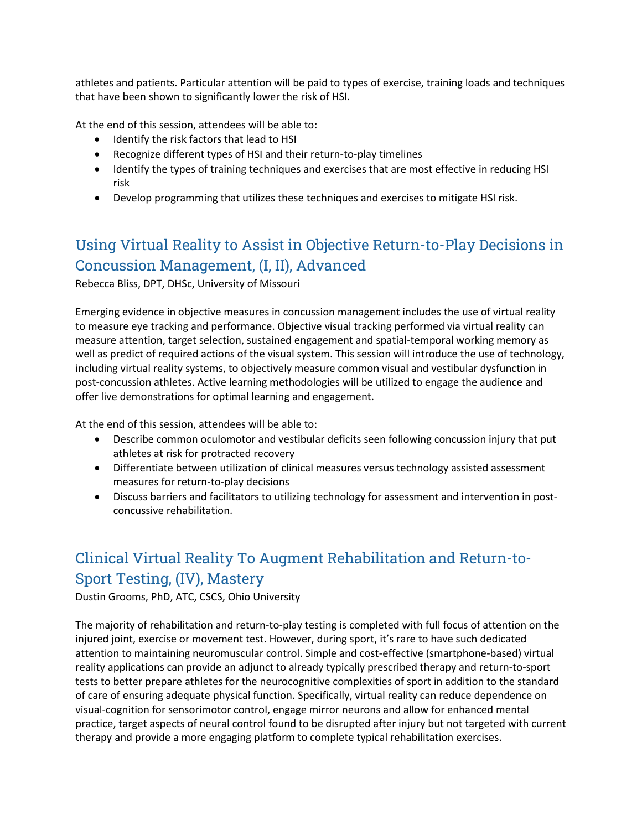athletes and patients. Particular attention will be paid to types of exercise, training loads and techniques that have been shown to significantly lower the risk of HSI.

At the end of this session, attendees will be able to:

- Identify the risk factors that lead to HSI
- Recognize different types of HSI and their return-to-play timelines
- Identify the types of training techniques and exercises that are most effective in reducing HSI risk
- Develop programming that utilizes these techniques and exercises to mitigate HSI risk.

# Using Virtual Reality to Assist in Objective Return-to-Play Decisions in Concussion Management, (I, II), Advanced

Rebecca Bliss, DPT, DHSc, University of Missouri

Emerging evidence in objective measures in concussion management includes the use of virtual reality to measure eye tracking and performance. Objective visual tracking performed via virtual reality can measure attention, target selection, sustained engagement and spatial-temporal working memory as well as predict of required actions of the visual system. This session will introduce the use of technology, including virtual reality systems, to objectively measure common visual and vestibular dysfunction in post-concussion athletes. Active learning methodologies will be utilized to engage the audience and offer live demonstrations for optimal learning and engagement.

At the end of this session, attendees will be able to:

- Describe common oculomotor and vestibular deficits seen following concussion injury that put athletes at risk for protracted recovery
- Differentiate between utilization of clinical measures versus technology assisted assessment measures for return-to-play decisions
- Discuss barriers and facilitators to utilizing technology for assessment and intervention in postconcussive rehabilitation.

# Clinical Virtual Reality To Augment Rehabilitation and Return-to-Sport Testing, (IV), Mastery

Dustin Grooms, PhD, ATC, CSCS, Ohio University

The majority of rehabilitation and return-to-play testing is completed with full focus of attention on the injured joint, exercise or movement test. However, during sport, it's rare to have such dedicated attention to maintaining neuromuscular control. Simple and cost-effective (smartphone-based) virtual reality applications can provide an adjunct to already typically prescribed therapy and return-to-sport tests to better prepare athletes for the neurocognitive complexities of sport in addition to the standard of care of ensuring adequate physical function. Specifically, virtual reality can reduce dependence on visual-cognition for sensorimotor control, engage mirror neurons and allow for enhanced mental practice, target aspects of neural control found to be disrupted after injury but not targeted with current therapy and provide a more engaging platform to complete typical rehabilitation exercises.